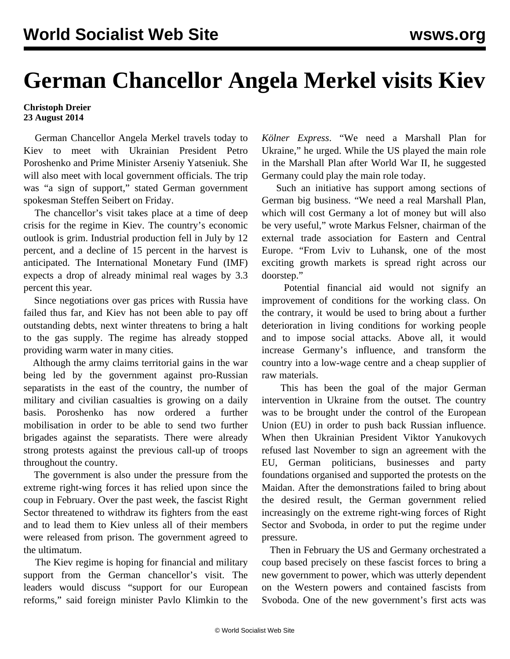## **German Chancellor Angela Merkel visits Kiev**

## **Christoph Dreier 23 August 2014**

 German Chancellor Angela Merkel travels today to Kiev to meet with Ukrainian President Petro Poroshenko and Prime Minister Arseniy Yatseniuk. She will also meet with local government officials. The trip was "a sign of support," stated German government spokesman Steffen Seibert on Friday.

 The chancellor's visit takes place at a time of deep crisis for the regime in Kiev. The country's economic outlook is grim. Industrial production fell in July by 12 percent, and a decline of 15 percent in the harvest is anticipated. The International Monetary Fund (IMF) expects a drop of already minimal real wages by 3.3 percent this year.

 Since negotiations over gas prices with Russia have failed thus far, and Kiev has not been able to pay off outstanding debts, next winter threatens to bring a halt to the gas supply. The regime has already stopped providing warm water in many cities.

 Although the army claims territorial gains in the war being led by the government against pro-Russian separatists in the east of the country, the number of military and civilian casualties is growing on a daily basis. Poroshenko has now ordered a further mobilisation in order to be able to send two further brigades against the separatists. There were already strong protests against the previous call-up of troops throughout the country.

 The government is also under the pressure from the extreme right-wing forces it has relied upon since the coup in February. Over the past week, the fascist Right Sector threatened to withdraw its fighters from the east and to lead them to Kiev unless all of their members were released from prison. The government agreed to the ultimatum.

 The Kiev regime is hoping for financial and military support from the German chancellor's visit. The leaders would discuss "support for our European reforms," said foreign minister Pavlo Klimkin to the *Kölner Express*. "We need a Marshall Plan for Ukraine," he urged. While the US played the main role in the Marshall Plan after World War II, he suggested Germany could play the main role today.

 Such an initiative has support among sections of German big business. "We need a real Marshall Plan, which will cost Germany a lot of money but will also be very useful," wrote Markus Felsner, chairman of the external trade association for Eastern and Central Europe. "From Lviv to Luhansk, one of the most exciting growth markets is spread right across our doorstep."

 Potential financial aid would not signify an improvement of conditions for the working class. On the contrary, it would be used to bring about a further deterioration in living conditions for working people and to impose social attacks. Above all, it would increase Germany's influence, and transform the country into a low-wage centre and a cheap supplier of raw materials.

 This has been the goal of the major German intervention in Ukraine from the outset. The country was to be brought under the control of the European Union (EU) in order to push back Russian influence. When then Ukrainian President Viktor Yanukovych refused last November to sign an agreement with the EU, German politicians, businesses and party foundations organised and supported the protests on the Maidan. After the demonstrations failed to bring about the desired result, the German government relied increasingly on the extreme right-wing forces of Right Sector and Svoboda, in order to put the regime under pressure.

 Then in February the US and Germany orchestrated a coup based precisely on these fascist forces to bring a new government to power, which was utterly dependent on the Western powers and contained fascists from Svoboda. One of the new government's first acts was